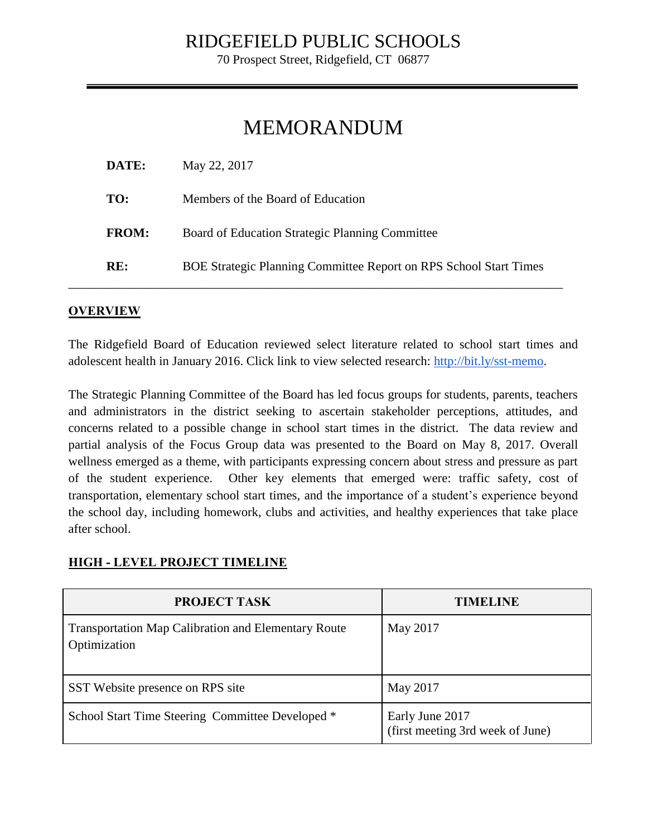70 Prospect Street, Ridgefield, CT 06877

# MEMORANDUM

| DATE:        | May 22, 2017                                                             |
|--------------|--------------------------------------------------------------------------|
| TO:          | Members of the Board of Education                                        |
| <b>FROM:</b> | Board of Education Strategic Planning Committee                          |
| RE:          | <b>BOE Strategic Planning Committee Report on RPS School Start Times</b> |

### **OVERVIEW**

The Ridgefield Board of Education reviewed select literature related to school start times and adolescent health in January 2016. Click link to view selected research: [http://bit.ly/sst-memo.](http://bit.ly/sst-memo)

The Strategic Planning Committee of the Board has led focus groups for students, parents, teachers and administrators in the district seeking to ascertain stakeholder perceptions, attitudes, and concerns related to a possible change in school start times in the district. The data review and partial analysis of the Focus Group data was presented to the Board on May 8, 2017. Overall wellness emerged as a theme, with participants expressing concern about stress and pressure as part of the student experience. Other key elements that emerged were: traffic safety, cost of transportation, elementary school start times, and the importance of a student's experience beyond the school day, including homework, clubs and activities, and healthy experiences that take place after school.

#### **HIGH - LEVEL PROJECT TIMELINE**

| <b>PROJECT TASK</b>                                                        | TIMELINE                                            |
|----------------------------------------------------------------------------|-----------------------------------------------------|
| <b>Transportation Map Calibration and Elementary Route</b><br>Optimization | May 2017                                            |
| SST Website presence on RPS site                                           | May 2017                                            |
| School Start Time Steering Committee Developed *                           | Early June 2017<br>(first meeting 3rd week of June) |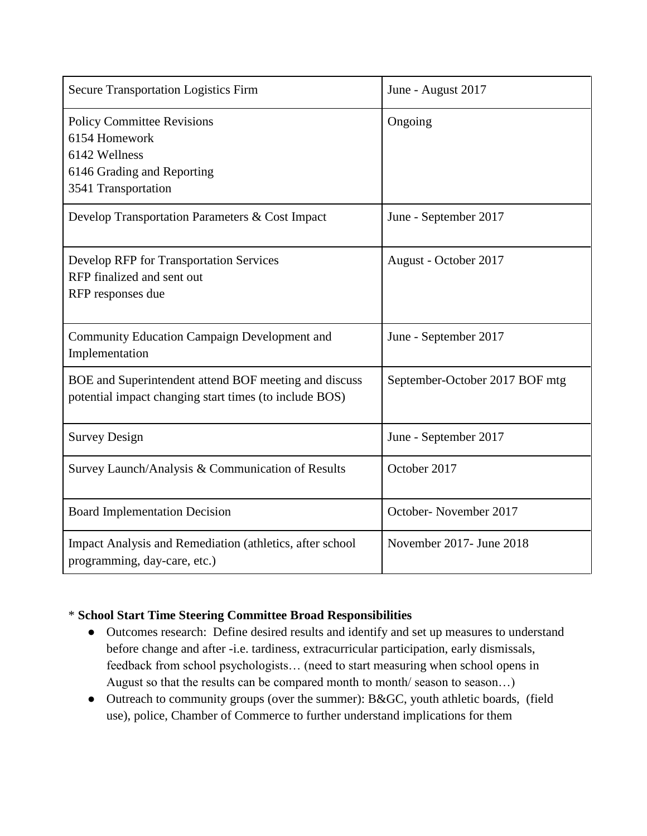| <b>Secure Transportation Logistics Firm</b>                                                                              | June - August 2017             |
|--------------------------------------------------------------------------------------------------------------------------|--------------------------------|
| <b>Policy Committee Revisions</b><br>6154 Homework<br>6142 Wellness<br>6146 Grading and Reporting<br>3541 Transportation | Ongoing                        |
| Develop Transportation Parameters & Cost Impact                                                                          | June - September 2017          |
| <b>Develop RFP for Transportation Services</b><br>RFP finalized and sent out<br>RFP responses due                        | August - October 2017          |
| <b>Community Education Campaign Development and</b><br>Implementation                                                    | June - September 2017          |
| BOE and Superintendent attend BOF meeting and discuss<br>potential impact changing start times (to include BOS)          | September-October 2017 BOF mtg |
| <b>Survey Design</b>                                                                                                     | June - September 2017          |
| Survey Launch/Analysis & Communication of Results                                                                        | October 2017                   |
| <b>Board Implementation Decision</b>                                                                                     | October-November 2017          |
| Impact Analysis and Remediation (athletics, after school<br>programming, day-care, etc.)                                 | November 2017- June 2018       |

## \* **School Start Time Steering Committee Broad Responsibilities**

- Outcomes research: Define desired results and identify and set up measures to understand before change and after -i.e. tardiness, extracurricular participation, early dismissals, feedback from school psychologists… (need to start measuring when school opens in August so that the results can be compared month to month/ season to season...)
- Outreach to community groups (over the summer): B&GC, youth athletic boards, (field use), police, Chamber of Commerce to further understand implications for them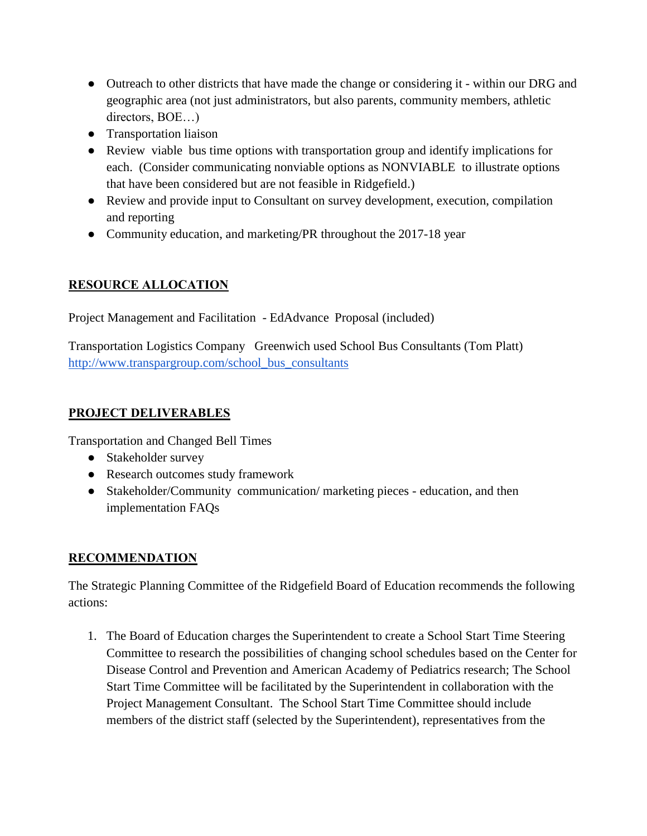- Outreach to other districts that have made the change or considering it within our DRG and geographic area (not just administrators, but also parents, community members, athletic directors, BOE…)
- Transportation liaison
- Review viable bus time options with transportation group and identify implications for each. (Consider communicating nonviable options as NONVIABLE to illustrate options that have been considered but are not feasible in Ridgefield.)
- Review and provide input to Consultant on survey development, execution, compilation and reporting
- Community education, and marketing/PR throughout the 2017-18 year

# **RESOURCE ALLOCATION**

Project Management and Facilitation - EdAdvance Proposal (included)

Transportation Logistics Company Greenwich used School Bus Consultants (Tom Platt) [http://www.transpargroup.com/school\\_bus\\_consultants](http://www.transpargroup.com/school_bus_consultants)

# **PROJECT DELIVERABLES**

Transportation and Changed Bell Times

- Stakeholder survey
- Research outcomes study framework
- Stakeholder/Community communication/ marketing pieces education, and then implementation FAQs

# **RECOMMENDATION**

The Strategic Planning Committee of the Ridgefield Board of Education recommends the following actions:

1. The Board of Education charges the Superintendent to create a School Start Time Steering Committee to research the possibilities of changing school schedules based on the Center for Disease Control and Prevention and American Academy of Pediatrics research; The School Start Time Committee will be facilitated by the Superintendent in collaboration with the Project Management Consultant. The School Start Time Committee should include members of the district staff (selected by the Superintendent), representatives from the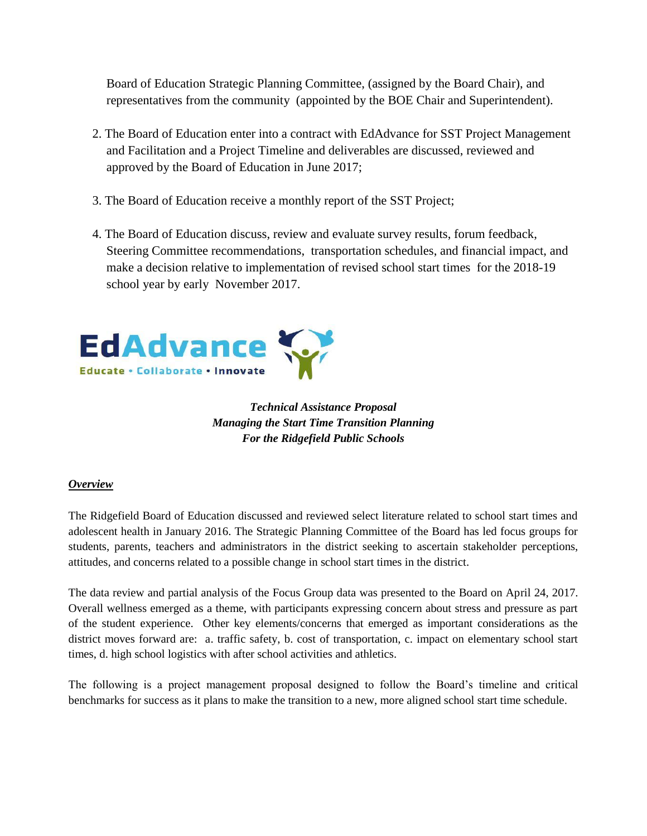Board of Education Strategic Planning Committee, (assigned by the Board Chair), and representatives from the community (appointed by the BOE Chair and Superintendent).

- 2. The Board of Education enter into a contract with EdAdvance for SST Project Management and Facilitation and a Project Timeline and deliverables are discussed, reviewed and approved by the Board of Education in June 2017;
- 3. The Board of Education receive a monthly report of the SST Project;
- 4. The Board of Education discuss, review and evaluate survey results, forum feedback, Steering Committee recommendations, transportation schedules, and financial impact, and make a decision relative to implementation of revised school start times for the 2018-19 school year by early November 2017.



*Technical Assistance Proposal Managing the Start Time Transition Planning For the Ridgefield Public Schools*

#### *Overview*

The Ridgefield Board of Education discussed and reviewed select literature related to school start times and adolescent health in January 2016. The Strategic Planning Committee of the Board has led focus groups for students, parents, teachers and administrators in the district seeking to ascertain stakeholder perceptions, attitudes, and concerns related to a possible change in school start times in the district.

The data review and partial analysis of the Focus Group data was presented to the Board on April 24, 2017. Overall wellness emerged as a theme, with participants expressing concern about stress and pressure as part of the student experience. Other key elements/concerns that emerged as important considerations as the district moves forward are: a. traffic safety, b. cost of transportation, c. impact on elementary school start times, d. high school logistics with after school activities and athletics.

The following is a project management proposal designed to follow the Board's timeline and critical benchmarks for success as it plans to make the transition to a new, more aligned school start time schedule.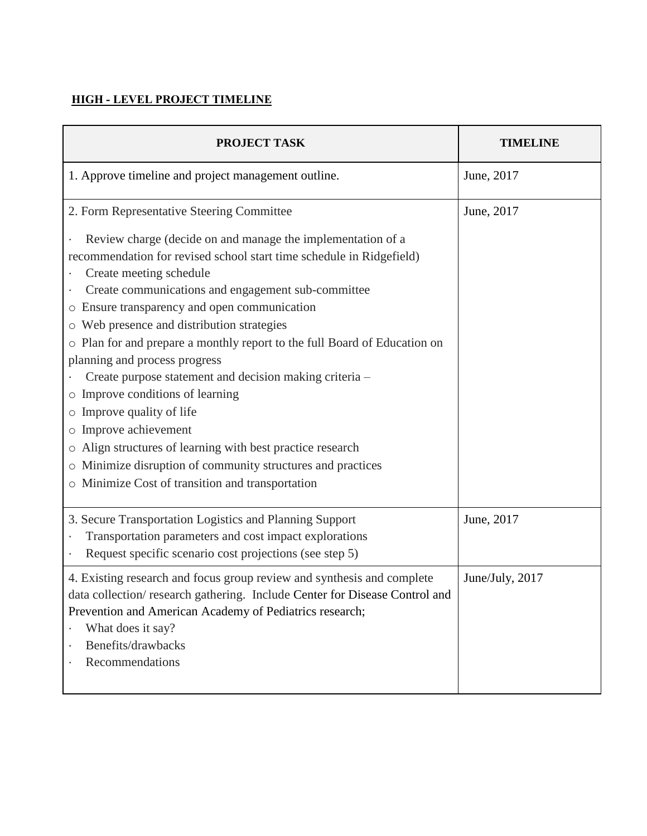### **HIGH - LEVEL PROJECT TIMELINE**

| PROJECT TASK                                                                                                                                                                                                                                                                                                                                                                                                                                                                                                                                                                                                                                                                                                                                                                                   | <b>TIMELINE</b> |
|------------------------------------------------------------------------------------------------------------------------------------------------------------------------------------------------------------------------------------------------------------------------------------------------------------------------------------------------------------------------------------------------------------------------------------------------------------------------------------------------------------------------------------------------------------------------------------------------------------------------------------------------------------------------------------------------------------------------------------------------------------------------------------------------|-----------------|
| 1. Approve timeline and project management outline.                                                                                                                                                                                                                                                                                                                                                                                                                                                                                                                                                                                                                                                                                                                                            | June, 2017      |
| 2. Form Representative Steering Committee                                                                                                                                                                                                                                                                                                                                                                                                                                                                                                                                                                                                                                                                                                                                                      | June, 2017      |
| Review charge (decide on and manage the implementation of a<br>recommendation for revised school start time schedule in Ridgefield)<br>Create meeting schedule<br>Create communications and engagement sub-committee<br>Ensure transparency and open communication<br>$\circ$<br>Web presence and distribution strategies<br>O<br>Plan for and prepare a monthly report to the full Board of Education on<br>planning and process progress<br>Create purpose statement and decision making criteria -<br>Improve conditions of learning<br>$\circ$<br>Improve quality of life<br>O<br>Improve achievement<br>Align structures of learning with best practice research<br>О<br>Minimize disruption of community structures and practices<br>О<br>Minimize Cost of transition and transportation |                 |
| 3. Secure Transportation Logistics and Planning Support<br>Transportation parameters and cost impact explorations<br>Request specific scenario cost projections (see step 5)                                                                                                                                                                                                                                                                                                                                                                                                                                                                                                                                                                                                                   | June, 2017      |
| 4. Existing research and focus group review and synthesis and complete<br>data collection/research gathering. Include Center for Disease Control and<br>Prevention and American Academy of Pediatrics research;<br>What does it say?<br>Benefits/drawbacks<br>ä<br>Recommendations<br>ä,                                                                                                                                                                                                                                                                                                                                                                                                                                                                                                       | June/July, 2017 |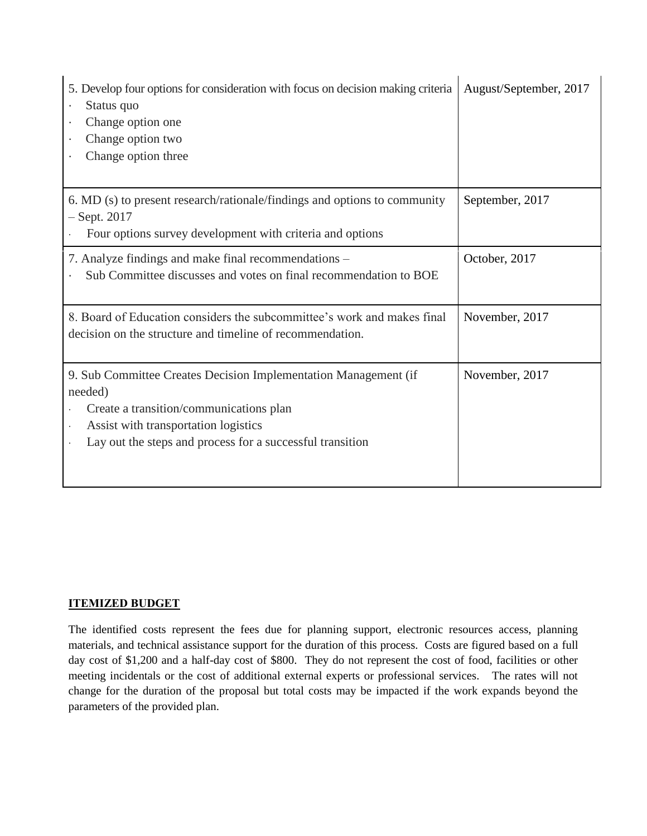| 5. Develop four options for consideration with focus on decision making criteria<br>Status quo<br>Change option one<br>Change option two<br>Change option three                                                            | August/September, 2017 |
|----------------------------------------------------------------------------------------------------------------------------------------------------------------------------------------------------------------------------|------------------------|
| 6. MD (s) to present research/rationale/findings and options to community<br>$-$ Sept. 2017<br>Four options survey development with criteria and options                                                                   | September, 2017        |
| 7. Analyze findings and make final recommendations -<br>Sub Committee discusses and votes on final recommendation to BOE                                                                                                   | October, 2017          |
| 8. Board of Education considers the subcommittee's work and makes final<br>decision on the structure and timeline of recommendation.                                                                                       | November, 2017         |
| 9. Sub Committee Creates Decision Implementation Management (if<br>needed)<br>Create a transition/communications plan<br>Assist with transportation logistics<br>Lay out the steps and process for a successful transition | November, 2017         |

#### **ITEMIZED BUDGET**

The identified costs represent the fees due for planning support, electronic resources access, planning materials, and technical assistance support for the duration of this process. Costs are figured based on a full day cost of \$1,200 and a half-day cost of \$800. They do not represent the cost of food, facilities or other meeting incidentals or the cost of additional external experts or professional services. The rates will not change for the duration of the proposal but total costs may be impacted if the work expands beyond the parameters of the provided plan.